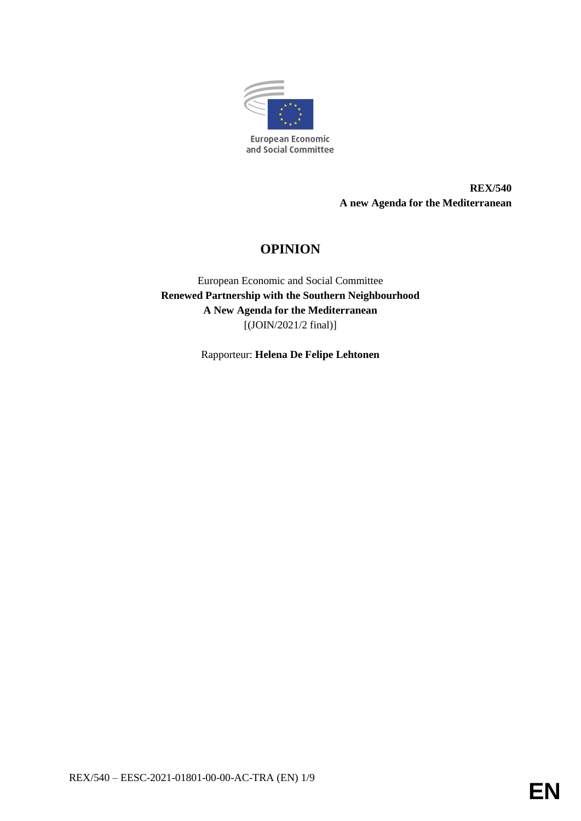

**REX/540 A new Agenda for the Mediterranean**

# **OPINION**

European Economic and Social Committee **Renewed Partnership with the Southern Neighbourhood A New Agenda for the Mediterranean** [(JOIN/2021/2 final)]

Rapporteur: **Helena De Felipe Lehtonen**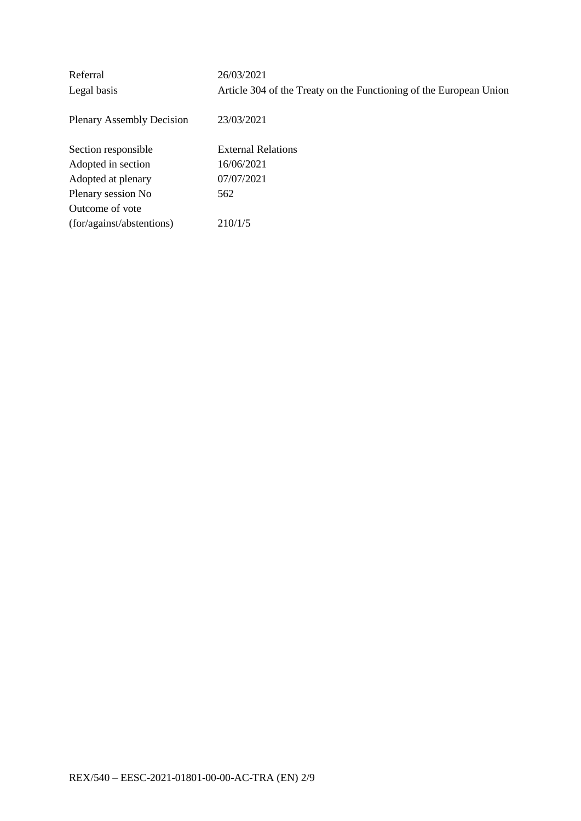| Referral                         | 26/03/2021                                                         |
|----------------------------------|--------------------------------------------------------------------|
| Legal basis                      | Article 304 of the Treaty on the Functioning of the European Union |
| <b>Plenary Assembly Decision</b> | 23/03/2021                                                         |
| Section responsible              | <b>External Relations</b>                                          |
| Adopted in section               | 16/06/2021                                                         |
| Adopted at plenary               | 07/07/2021                                                         |
| Plenary session No               | 562                                                                |
| Outcome of vote                  |                                                                    |
| (for/against/abstentions)        | 210/1/5                                                            |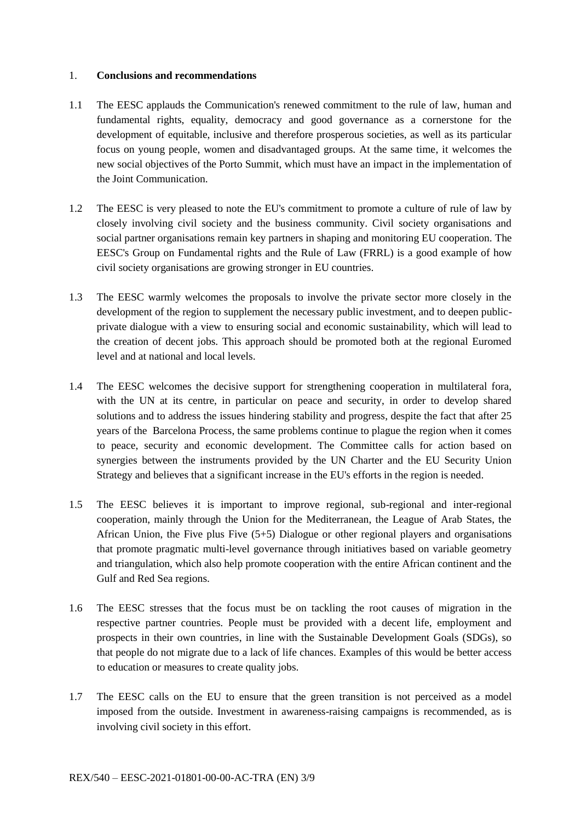#### 1. **Conclusions and recommendations**

- 1.1 The EESC applauds the Communication's renewed commitment to the rule of law, human and fundamental rights, equality, democracy and good governance as a cornerstone for the development of equitable, inclusive and therefore prosperous societies, as well as its particular focus on young people, women and disadvantaged groups. At the same time, it welcomes the new social objectives of the Porto Summit, which must have an impact in the implementation of the Joint Communication.
- 1.2 The EESC is very pleased to note the EU's commitment to promote a culture of rule of law by closely involving civil society and the business community. Civil society organisations and social partner organisations remain key partners in shaping and monitoring EU cooperation. The EESC's Group on Fundamental rights and the Rule of Law (FRRL) is a good example of how civil society organisations are growing stronger in EU countries.
- 1.3 The EESC warmly welcomes the proposals to involve the private sector more closely in the development of the region to supplement the necessary public investment, and to deepen publicprivate dialogue with a view to ensuring social and economic sustainability, which will lead to the creation of decent jobs. This approach should be promoted both at the regional Euromed level and at national and local levels.
- 1.4 The EESC welcomes the decisive support for strengthening cooperation in multilateral fora, with the UN at its centre, in particular on peace and security, in order to develop shared solutions and to address the issues hindering stability and progress, despite the fact that after 25 years of the Barcelona Process, the same problems continue to plague the region when it comes to peace, security and economic development. The Committee calls for action based on synergies between the instruments provided by the UN Charter and the EU Security Union Strategy and believes that a significant increase in the EU's efforts in the region is needed.
- 1.5 The EESC believes it is important to improve regional, sub-regional and inter-regional cooperation, mainly through the Union for the Mediterranean, the League of Arab States, the African Union, the Five plus Five (5+5) Dialogue or other regional players and organisations that promote pragmatic multi-level governance through initiatives based on variable geometry and triangulation, which also help promote cooperation with the entire African continent and the Gulf and Red Sea regions.
- 1.6 The EESC stresses that the focus must be on tackling the root causes of migration in the respective partner countries. People must be provided with a decent life, employment and prospects in their own countries, in line with the Sustainable Development Goals (SDGs), so that people do not migrate due to a lack of life chances. Examples of this would be better access to education or measures to create quality jobs.
- 1.7 The EESC calls on the EU to ensure that the green transition is not perceived as a model imposed from the outside. Investment in awareness-raising campaigns is recommended, as is involving civil society in this effort.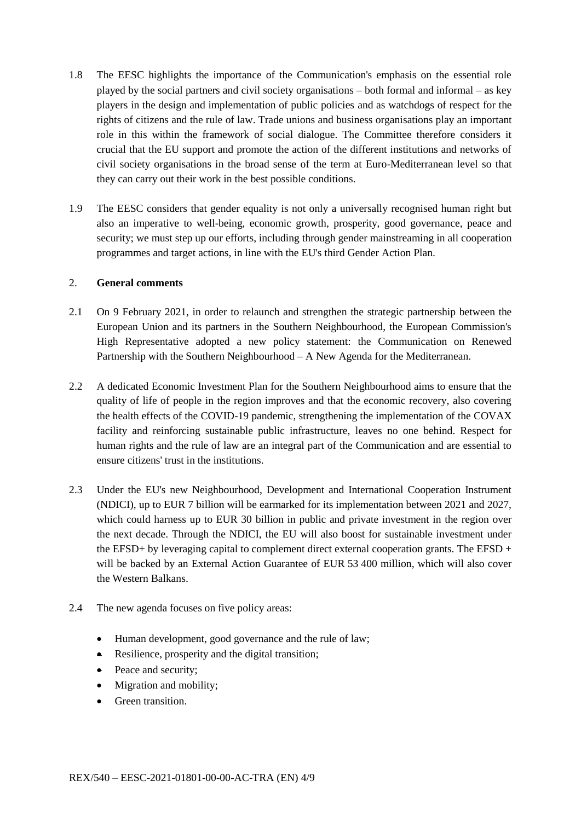- 1.8 The EESC highlights the importance of the Communication's emphasis on the essential role played by the social partners and civil society organisations – both formal and informal – as key players in the design and implementation of public policies and as watchdogs of respect for the rights of citizens and the rule of law. Trade unions and business organisations play an important role in this within the framework of social dialogue. The Committee therefore considers it crucial that the EU support and promote the action of the different institutions and networks of civil society organisations in the broad sense of the term at Euro-Mediterranean level so that they can carry out their work in the best possible conditions.
- 1.9 The EESC considers that gender equality is not only a universally recognised human right but also an imperative to well-being, economic growth, prosperity, good governance, peace and security; we must step up our efforts, including through gender mainstreaming in all cooperation programmes and target actions, in line with the EU's third Gender Action Plan.

#### 2. **General comments**

- 2.1 On 9 February 2021, in order to relaunch and strengthen the strategic partnership between the European Union and its partners in the Southern Neighbourhood, the European Commission's High Representative adopted a new policy statement: the Communication on Renewed Partnership with the Southern Neighbourhood – A New Agenda for the Mediterranean.
- 2.2 A dedicated Economic Investment Plan for the Southern Neighbourhood aims to ensure that the quality of life of people in the region improves and that the economic recovery, also covering the health effects of the COVID-19 pandemic, strengthening the implementation of the COVAX facility and reinforcing sustainable public infrastructure, leaves no one behind. Respect for human rights and the rule of law are an integral part of the Communication and are essential to ensure citizens' trust in the institutions.
- 2.3 Under the EU's new Neighbourhood, Development and International Cooperation Instrument (NDICI), up to EUR 7 billion will be earmarked for its implementation between 2021 and 2027, which could harness up to EUR 30 billion in public and private investment in the region over the next decade. Through the NDICI, the EU will also boost for sustainable investment under the EFSD+ by leveraging capital to complement direct external cooperation grants. The EFSD + will be backed by an External Action Guarantee of EUR 53 400 million, which will also cover the Western Balkans.
- 2.4 The new agenda focuses on five policy areas:
	- Human development, good governance and the rule of law;
	- Resilience, prosperity and the digital transition;
	- Peace and security;
	- Migration and mobility;
	- Green transition.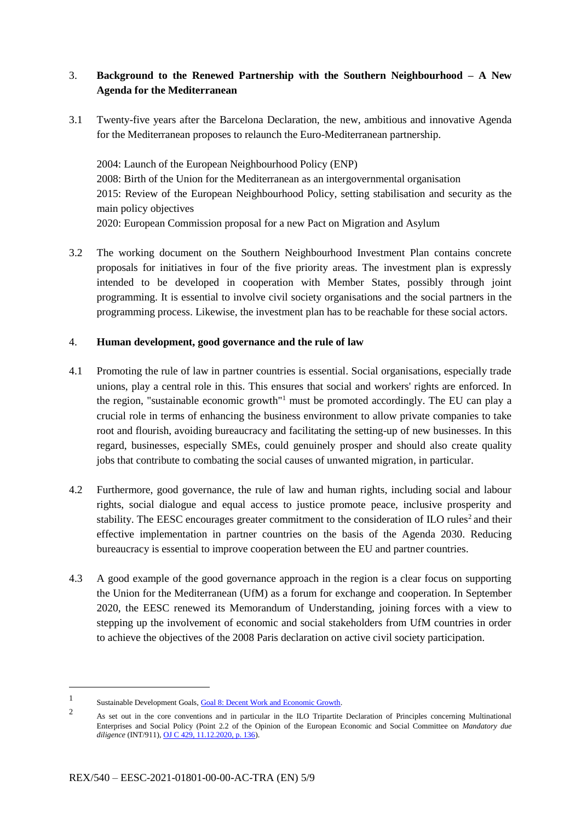## 3. **Background to the Renewed Partnership with the Southern Neighbourhood – A New Agenda for the Mediterranean**

3.1 Twenty-five years after the Barcelona Declaration, the new, ambitious and innovative Agenda for the Mediterranean proposes to relaunch the Euro-Mediterranean partnership.

2004: Launch of the European Neighbourhood Policy (ENP) 2008: Birth of the Union for the Mediterranean as an intergovernmental organisation 2015: Review of the European Neighbourhood Policy, setting stabilisation and security as the main policy objectives 2020: European Commission proposal for a new Pact on Migration and Asylum

3.2 The working document on the Southern Neighbourhood Investment Plan contains concrete proposals for initiatives in four of the five priority areas. The investment plan is expressly intended to be developed in cooperation with Member States, possibly through joint programming. It is essential to involve civil society organisations and the social partners in the programming process. Likewise, the investment plan has to be reachable for these social actors.

#### 4. **Human development, good governance and the rule of law**

- 4.1 Promoting the rule of law in partner countries is essential. Social organisations, especially trade unions, play a central role in this. This ensures that social and workers' rights are enforced. In the region, "sustainable economic growth"<sup>1</sup> must be promoted accordingly. The EU can play a crucial role in terms of enhancing the business environment to allow private companies to take root and flourish, avoiding bureaucracy and facilitating the setting-up of new businesses. In this regard, businesses, especially SMEs, could genuinely prosper and should also create quality jobs that contribute to combating the social causes of unwanted migration, in particular.
- 4.2 Furthermore, good governance, the rule of law and human rights, including social and labour rights, social dialogue and equal access to justice promote peace, inclusive prosperity and stability. The EESC encourages greater commitment to the consideration of  $ILO$  rules<sup>2</sup> and their effective implementation in partner countries on the basis of the Agenda 2030. Reducing bureaucracy is essential to improve cooperation between the EU and partner countries.
- 4.3 A good example of the good governance approach in the region is a clear focus on supporting the Union for the Mediterranean (UfM) as a forum for exchange and cooperation. In September 2020, the EESC renewed its Memorandum of Understanding, joining forces with a view to stepping up the involvement of economic and social stakeholders from UfM countries in order to achieve the objectives of the 2008 Paris declaration on active civil society participation.

1

<sup>1</sup> Sustainable Development Goals, Goal 8: Decent [Work and Economic Growth.](https://www.undp.org/sustainable-development-goals#decent-work-and-economic-growth)

 $\overline{2}$ As set out in the core conventions and in particular in the ILO Tripartite Declaration of Principles concerning Multinational Enterprises and Social Policy (Point 2.2 of the Opinion of the European Economic and Social Committee on *Mandatory due diligence* (INT/911)[, OJ C 429, 11.12.2020, p. 136\)](https://eur-lex.europa.eu/legal-content/EN/TXT/?uri=CELEX%3A52020AE2926).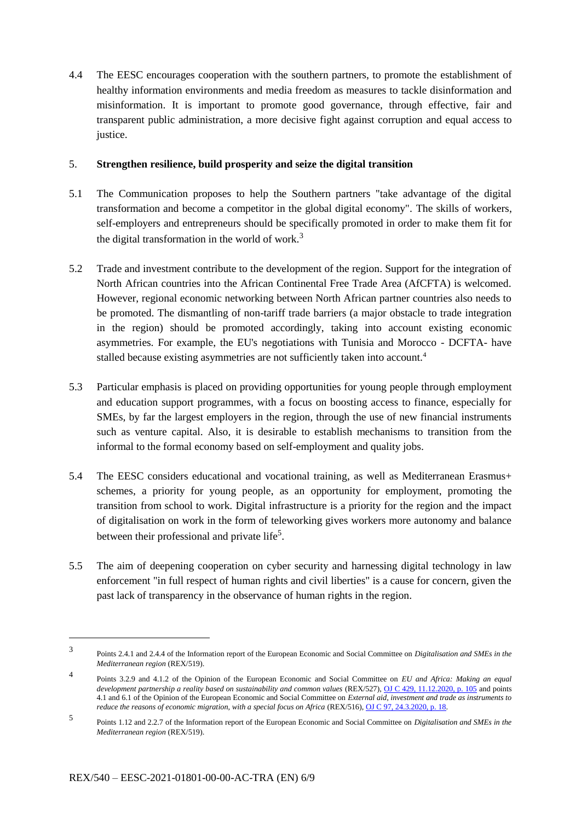4.4 The EESC encourages cooperation with the southern partners, to promote the establishment of healthy information environments and media freedom as measures to tackle disinformation and misinformation. It is important to promote good governance, through effective, fair and transparent public administration, a more decisive fight against corruption and equal access to justice.

#### 5. **Strengthen resilience, build prosperity and seize the digital transition**

- 5.1 The Communication proposes to help the Southern partners "take advantage of the digital transformation and become a competitor in the global digital economy". The skills of workers, self-employers and entrepreneurs should be specifically promoted in order to make them fit for the digital transformation in the world of work.<sup>3</sup>
- 5.2 Trade and investment contribute to the development of the region. Support for the integration of North African countries into the African Continental Free Trade Area (AfCFTA) is welcomed. However, regional economic networking between North African partner countries also needs to be promoted. The dismantling of non-tariff trade barriers (a major obstacle to trade integration in the region) should be promoted accordingly, taking into account existing economic asymmetries. For example, the EU's negotiations with Tunisia and Morocco - DCFTA- have stalled because existing asymmetries are not sufficiently taken into account.<sup>4</sup>
- 5.3 Particular emphasis is placed on providing opportunities for young people through employment and education support programmes, with a focus on boosting access to finance, especially for SMEs, by far the largest employers in the region, through the use of new financial instruments such as venture capital. Also, it is desirable to establish mechanisms to transition from the informal to the formal economy based on self-employment and quality jobs.
- 5.4 The EESC considers educational and vocational training, as well as Mediterranean Erasmus+ schemes, a priority for young people, as an opportunity for employment, promoting the transition from school to work. Digital infrastructure is a priority for the region and the impact of digitalisation on work in the form of teleworking gives workers more autonomy and balance between their professional and private life<sup>5</sup>.
- 5.5 The aim of deepening cooperation on cyber security and harnessing digital technology in law enforcement "in full respect of human rights and civil liberties" is a cause for concern, given the past lack of transparency in the observance of human rights in the region.

-

<sup>3</sup> Points 2.4.1 and 2.4.4 of the Information report of the European Economic and Social Committee on *Digitalisation and SMEs in the Mediterranean region* (REX/519).

<sup>4</sup> Points 3.2.9 and 4.1.2 of the Opinion of the European Economic and Social Committee on *EU and Africa: Making an equal development partnership a reality based on sustainability and common values* (REX/527)[, OJ C 429, 11.12.2020, p. 105](https://eur-lex.europa.eu/legal-content/EN/TXT/?uri=CELEX%3A52020IE1715) and points 4.1 and 6.1 of the Opinion of the European Economic and Social Committee on *External aid, investment and trade as instruments to reduce the reasons of economic migration, with a special focus on Africa* (REX/516), [OJ C 97, 24.3.2020, p. 18.](https://eur-lex.europa.eu/legal-content/EN/TXT/?uri=CELEX%3A52019IE2059)

<sup>5</sup> Points 1.12 and 2.2.7 of the Information report of the European Economic and Social Committee on *Digitalisation and SMEs in the Mediterranean region* (REX/519).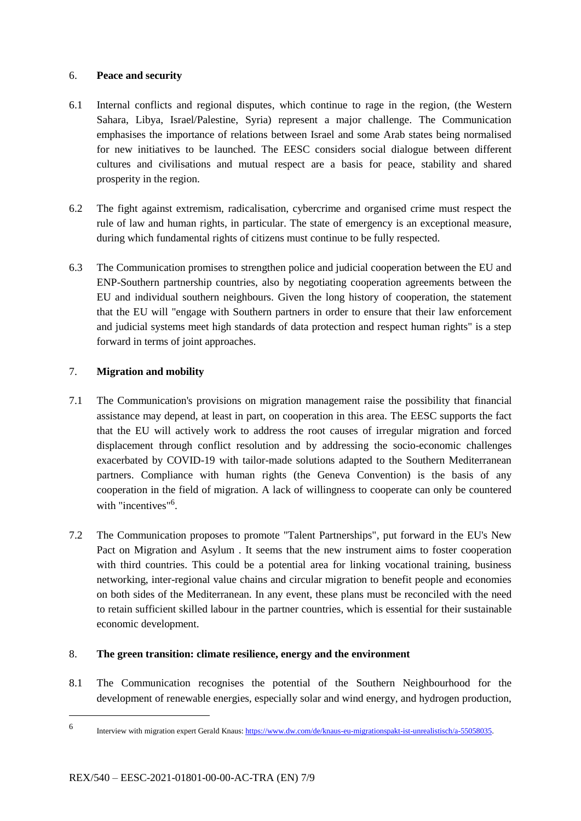### 6. **Peace and security**

- 6.1 Internal conflicts and regional disputes, which continue to rage in the region, (the Western Sahara, Libya, Israel/Palestine, Syria) represent a major challenge. The Communication emphasises the importance of relations between Israel and some Arab states being normalised for new initiatives to be launched. The EESC considers social dialogue between different cultures and civilisations and mutual respect are a basis for peace, stability and shared prosperity in the region.
- 6.2 The fight against extremism, radicalisation, cybercrime and organised crime must respect the rule of law and human rights, in particular. The state of emergency is an exceptional measure, during which fundamental rights of citizens must continue to be fully respected.
- 6.3 The Communication promises to strengthen police and judicial cooperation between the EU and ENP-Southern partnership countries, also by negotiating cooperation agreements between the EU and individual southern neighbours. Given the long history of cooperation, the statement that the EU will "engage with Southern partners in order to ensure that their law enforcement and judicial systems meet high standards of data protection and respect human rights" is a step forward in terms of joint approaches.

## 7. **Migration and mobility**

- 7.1 The Communication's provisions on migration management raise the possibility that financial assistance may depend, at least in part, on cooperation in this area. The EESC supports the fact that the EU will actively work to address the root causes of irregular migration and forced displacement through conflict resolution and by addressing the socio-economic challenges exacerbated by COVID-19 with tailor-made solutions adapted to the Southern Mediterranean partners. Compliance with human rights (the Geneva Convention) is the basis of any cooperation in the field of migration. A lack of willingness to cooperate can only be countered with "incentives"<sup>6</sup>.
- 7.2 The Communication proposes to promote "Talent Partnerships", put forward in the EU's New Pact on Migration and Asylum . It seems that the new instrument aims to foster cooperation with third countries. This could be a potential area for linking vocational training, business networking, inter-regional value chains and circular migration to benefit people and economies on both sides of the Mediterranean. In any event, these plans must be reconciled with the need to retain sufficient skilled labour in the partner countries, which is essential for their sustainable economic development.

## 8. **The green transition: climate resilience, energy and the environment**

8.1 The Communication recognises the potential of the Southern Neighbourhood for the development of renewable energies, especially solar and wind energy, and hydrogen production,

1

<sup>6</sup> Interview with migration expert Gerald Knaus[: https://www.dw.com/de/knaus-eu-migrationspakt-ist-unrealistisch/a-55058035.](https://www.dw.com/de/knaus-eu-migrationspakt-ist-unrealistisch/a-55058035)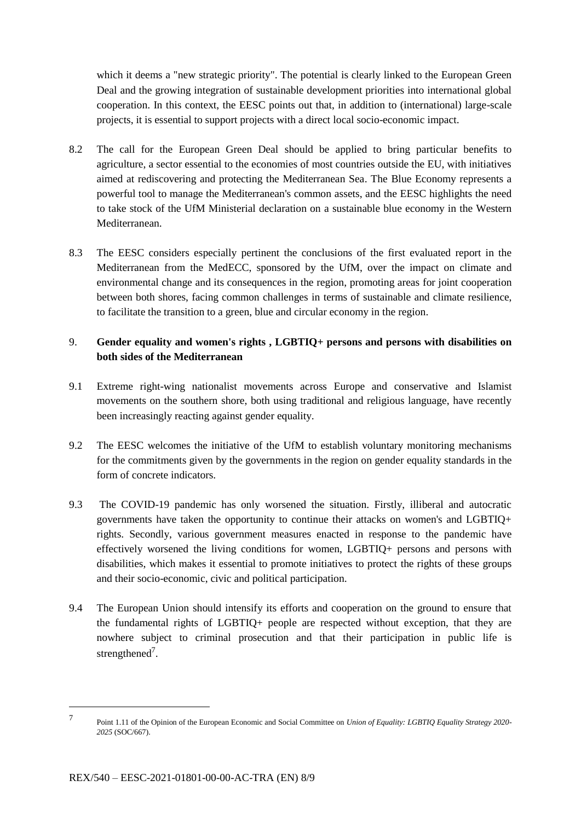which it deems a "new strategic priority". The potential is clearly linked to the European Green Deal and the growing integration of sustainable development priorities into international global cooperation. In this context, the EESC points out that, in addition to (international) large-scale projects, it is essential to support projects with a direct local socio-economic impact.

- 8.2 The call for the European Green Deal should be applied to bring particular benefits to agriculture, a sector essential to the economies of most countries outside the EU, with initiatives aimed at rediscovering and protecting the Mediterranean Sea. The Blue Economy represents a powerful tool to manage the Mediterranean's common assets, and the EESC highlights the need to take stock of the UfM Ministerial declaration on a sustainable blue economy in the Western Mediterranean.
- 8.3 The EESC considers especially pertinent the conclusions of the first evaluated report in the Mediterranean from the MedECC, sponsored by the UfM, over the impact on climate and environmental change and its consequences in the region, promoting areas for joint cooperation between both shores, facing common challenges in terms of sustainable and climate resilience, to facilitate the transition to a green, blue and circular economy in the region.

## 9. **Gender equality and women's rights , LGBTIQ+ persons and persons with disabilities on both sides of the Mediterranean**

- 9.1 Extreme right-wing nationalist movements across Europe and conservative and Islamist movements on the southern shore, both using traditional and religious language, have recently been increasingly reacting against gender equality.
- 9.2 The EESC welcomes the initiative of the UfM to establish voluntary monitoring mechanisms for the commitments given by the governments in the region on gender equality standards in the form of concrete indicators.
- 9.3 The COVID-19 pandemic has only worsened the situation. Firstly, illiberal and autocratic governments have taken the opportunity to continue their attacks on women's and LGBTIQ+ rights. Secondly, various government measures enacted in response to the pandemic have effectively worsened the living conditions for women, LGBTIQ+ persons and persons with disabilities, which makes it essential to promote initiatives to protect the rights of these groups and their socio-economic, civic and political participation.
- 9.4 The European Union should intensify its efforts and cooperation on the ground to ensure that the fundamental rights of LGBTIQ+ people are respected without exception, that they are nowhere subject to criminal prosecution and that their participation in public life is strengthened<sup>7</sup>.

-

<sup>7</sup> Point 1.11 of the Opinion of the European Economic and Social Committee on *Union of Equality: LGBTIQ Equality Strategy 2020- 2025* (SOC/667).